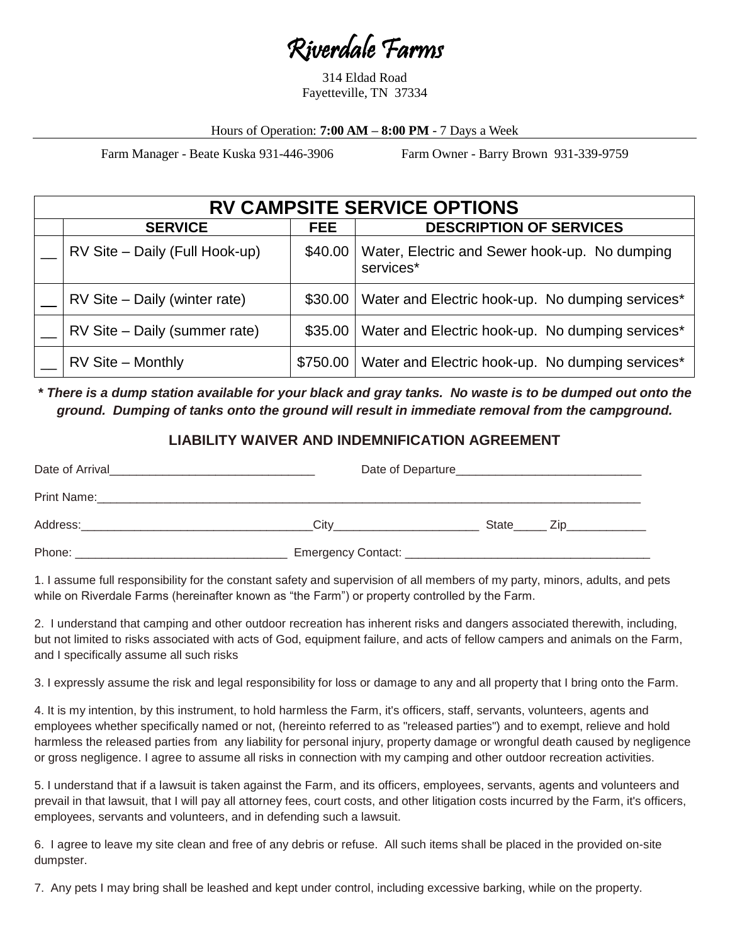## Riverdale Farms

314 Eldad Road Fayetteville, TN 37334

Hours of Operation: **7:00 AM – 8:00 PM** - 7 Days a Week

Farm Manager - Beate Kuska 931-446-3906 Farm Owner - Barry Brown 931-339-9759

| <b>RV CAMPSITE SERVICE OPTIONS</b> |                                |          |                                                            |  |  |  |
|------------------------------------|--------------------------------|----------|------------------------------------------------------------|--|--|--|
|                                    | <b>SERVICE</b>                 | FEE.     | <b>DESCRIPTION OF SERVICES</b>                             |  |  |  |
|                                    | RV Site - Daily (Full Hook-up) | \$40.00  | Water, Electric and Sewer hook-up. No dumping<br>services* |  |  |  |
|                                    | RV Site - Daily (winter rate)  | \$30.00  | Water and Electric hook-up. No dumping services*           |  |  |  |
|                                    | RV Site - Daily (summer rate)  | \$35.00  | Water and Electric hook-up. No dumping services*           |  |  |  |
|                                    | RV Site - Monthly              | \$750.00 | Water and Electric hook-up. No dumping services*           |  |  |  |

*\* There is a dump station available for your black and gray tanks. No waste is to be dumped out onto the ground. Dumping of tanks onto the ground will result in immediate removal from the campground.*

## **LIABILITY WAIVER AND INDEMNIFICATION AGREEMENT**

| Date of Arrival<br><u> 1980 - John Stein, Amerikaansk politiker (</u> | Date of Departure |       |                                           |  |
|-----------------------------------------------------------------------|-------------------|-------|-------------------------------------------|--|
| Print Name:                                                           |                   |       |                                           |  |
| Address:                                                              | City              | State | Zip.<br>the control of the control of the |  |
| Phone:                                                                |                   |       |                                           |  |

1. I assume full responsibility for the constant safety and supervision of all members of my party, minors, adults, and pets while on Riverdale Farms (hereinafter known as "the Farm") or property controlled by the Farm.

2. I understand that camping and other outdoor recreation has inherent risks and dangers associated therewith, including, but not limited to risks associated with acts of God, equipment failure, and acts of fellow campers and animals on the Farm, and I specifically assume all such risks

3. I expressly assume the risk and legal responsibility for loss or damage to any and all property that I bring onto the Farm.

4. It is my intention, by this instrument, to hold harmless the Farm, it's officers, staff, servants, volunteers, agents and employees whether specifically named or not, (hereinto referred to as "released parties") and to exempt, relieve and hold harmless the released parties from any liability for personal injury, property damage or wrongful death caused by negligence or gross negligence. I agree to assume all risks in connection with my camping and other outdoor recreation activities.

5. I understand that if a lawsuit is taken against the Farm, and its officers, employees, servants, agents and volunteers and prevail in that lawsuit, that I will pay all attorney fees, court costs, and other litigation costs incurred by the Farm, it's officers, employees, servants and volunteers, and in defending such a lawsuit.

6. I agree to leave my site clean and free of any debris or refuse. All such items shall be placed in the provided on-site dumpster.

7. Any pets I may bring shall be leashed and kept under control, including excessive barking, while on the property.